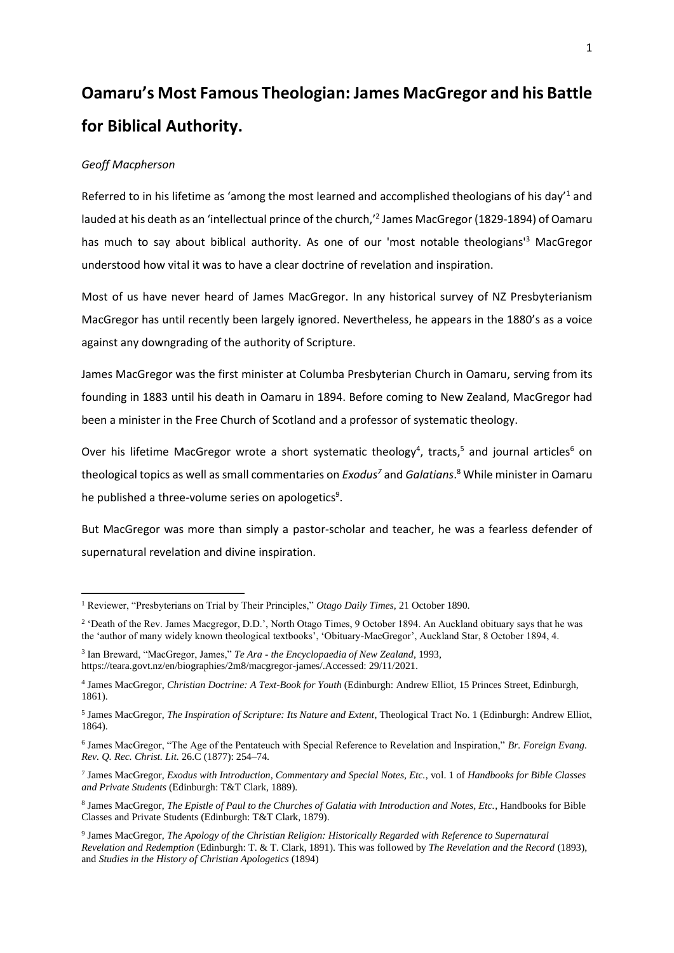# **Oamaru's Most Famous Theologian: James MacGregor and his Battle for Biblical Authority.**

## *Geoff Macpherson*

Referred to in his lifetime as 'among the most learned and accomplished theologians of his day'<sup>1</sup> and lauded at his death as an 'intellectual prince of the church,' 2 James MacGregor (1829-1894) of Oamaru has much to say about biblical authority. As one of our 'most notable theologians'<sup>3</sup> MacGregor understood how vital it was to have a clear doctrine of revelation and inspiration.

Most of us have never heard of James MacGregor. In any historical survey of NZ Presbyterianism MacGregor has until recently been largely ignored. Nevertheless, he appears in the 1880's as a voice against any downgrading of the authority of Scripture.

James MacGregor was the first minister at Columba Presbyterian Church in Oamaru, serving from its founding in 1883 until his death in Oamaru in 1894. Before coming to New Zealand, MacGregor had been a minister in the Free Church of Scotland and a professor of systematic theology.

Over his lifetime MacGregor wrote a short systematic theology<sup>4</sup>, tracts,<sup>5</sup> and journal articles<sup>6</sup> on theological topics as well as small commentaries on *Exodus<sup>7</sup>* and *Galatians*. <sup>8</sup> While minister in Oamaru he published a three-volume series on apologetics<sup>9</sup>.

But MacGregor was more than simply a pastor-scholar and teacher, he was a fearless defender of supernatural revelation and divine inspiration.

<sup>1</sup> Reviewer, "Presbyterians on Trial by Their Principles," *Otago Daily Times*, 21 October 1890.

<sup>&</sup>lt;sup>2</sup> 'Death of the Rev. James Macgregor, D.D.', North Otago Times, 9 October 1894. An Auckland obituary says that he was the 'author of many widely known theological textbooks', 'Obituary-MacGregor', Auckland Star, 8 October 1894, 4.

<sup>3</sup> Ian Breward, "MacGregor, James," *Te Ara - the Encyclopaedia of New Zealand*, 1993, https://teara.govt.nz/en/biographies/2m8/macgregor-james/.Accessed: 29/11/2021.

<sup>4</sup> James MacGregor, *Christian Doctrine: A Text-Book for Youth* (Edinburgh: Andrew Elliot, 15 Princes Street, Edinburgh, 1861).

<sup>5</sup> James MacGregor, *The Inspiration of Scripture: Its Nature and Extent*, Theological Tract No. 1 (Edinburgh: Andrew Elliot, 1864).

<sup>6</sup> James MacGregor, "The Age of the Pentateuch with Special Reference to Revelation and Inspiration," *Br. Foreign Evang. Rev. Q. Rec. Christ. Lit.* 26.C (1877): 254–74.

<sup>7</sup> James MacGregor, *Exodus with Introduction, Commentary and Special Notes, Etc.*, vol. 1 of *Handbooks for Bible Classes and Private Students* (Edinburgh: T&T Clark, 1889).

<sup>8</sup> James MacGregor, *The Epistle of Paul to the Churches of Galatia with Introduction and Notes, Etc.*, Handbooks for Bible Classes and Private Students (Edinburgh: T&T Clark, 1879).

<sup>9</sup> James MacGregor, *The Apology of the Christian Religion: Historically Regarded with Reference to Supernatural Revelation and Redemption* (Edinburgh: T. & T. Clark, 1891). This was followed by *The Revelation and the Record* (1893), and *Studies in the History of Christian Apologetics* (1894)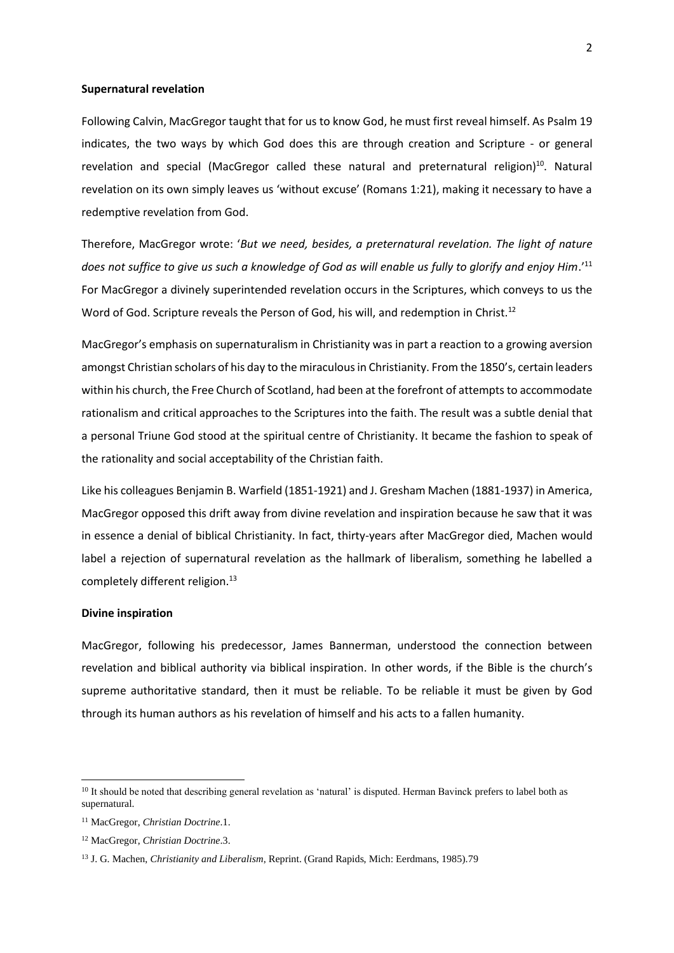#### **Supernatural revelation**

Following Calvin, MacGregor taught that for us to know God, he must first reveal himself. As Psalm 19 indicates, the two ways by which God does this are through creation and Scripture - or general revelation and special (MacGregor called these natural and preternatural religion) <sup>10</sup>. Natural revelation on its own simply leaves us 'without excuse' (Romans 1:21), making it necessary to have a redemptive revelation from God.

Therefore, MacGregor wrote: '*But we need, besides, a preternatural revelation. The light of nature does not suffice to give us such a knowledge of God as will enable us fully to glorify and enjoy Him*.'<sup>11</sup> For MacGregor a divinely superintended revelation occurs in the Scriptures, which conveys to us the Word of God. Scripture reveals the Person of God, his will, and redemption in Christ.<sup>12</sup>

MacGregor's emphasis on supernaturalism in Christianity was in part a reaction to a growing aversion amongst Christian scholars of his day to the miraculousin Christianity. From the 1850's, certain leaders within his church, the Free Church of Scotland, had been at the forefront of attempts to accommodate rationalism and critical approaches to the Scriptures into the faith. The result was a subtle denial that a personal Triune God stood at the spiritual centre of Christianity. It became the fashion to speak of the rationality and social acceptability of the Christian faith.

Like his colleagues Benjamin B. Warfield (1851-1921) and J. Gresham Machen (1881-1937) in America, MacGregor opposed this drift away from divine revelation and inspiration because he saw that it was in essence a denial of biblical Christianity. In fact, thirty-years after MacGregor died, Machen would label a rejection of supernatural revelation as the hallmark of liberalism, something he labelled a completely different religion.<sup>13</sup>

#### **Divine inspiration**

MacGregor, following his predecessor, James Bannerman, understood the connection between revelation and biblical authority via biblical inspiration. In other words, if the Bible is the church's supreme authoritative standard, then it must be reliable. To be reliable it must be given by God through its human authors as his revelation of himself and his acts to a fallen humanity.

<sup>&</sup>lt;sup>10</sup> It should be noted that describing general revelation as 'natural' is disputed. Herman Bavinck prefers to label both as supernatural.

<sup>11</sup> MacGregor, *Christian Doctrine*.1.

<sup>12</sup> MacGregor, *Christian Doctrine*.3.

<sup>13</sup> J. G. Machen, *Christianity and Liberalism*, Reprint. (Grand Rapids, Mich: Eerdmans, 1985).79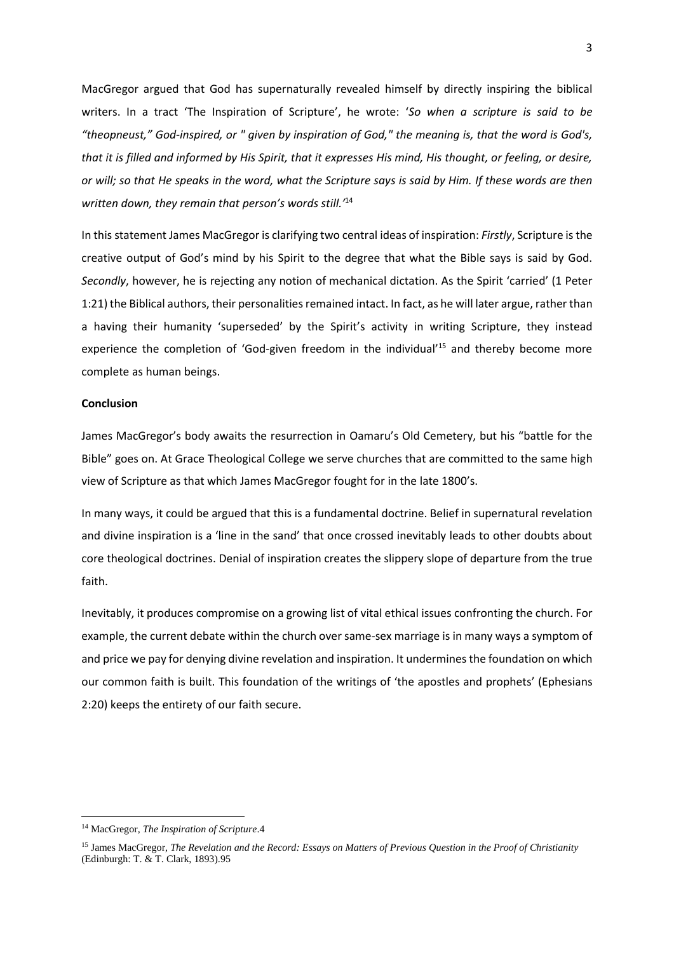MacGregor argued that God has supernaturally revealed himself by directly inspiring the biblical writers. In a tract 'The Inspiration of Scripture', he wrote: '*So when a scripture is said to be "theopneust," God-inspired, or " given by inspiration of God," the meaning is, that the word is God's, that it is filled and informed by His Spirit, that it expresses His mind, His thought, or feeling, or desire, or will; so that He speaks in the word, what the Scripture says is said by Him. If these words are then written down, they remain that person's words still.'*<sup>14</sup>

In this statement James MacGregor is clarifying two central ideas of inspiration: *Firstly*, Scripture is the creative output of God's mind by his Spirit to the degree that what the Bible says is said by God. *Secondly*, however, he is rejecting any notion of mechanical dictation. As the Spirit 'carried' (1 Peter 1:21) the Biblical authors, their personalities remained intact. In fact, as he will later argue, rather than a having their humanity 'superseded' by the Spirit's activity in writing Scripture, they instead experience the completion of 'God-given freedom in the individual'<sup>15</sup> and thereby become more complete as human beings.

## **Conclusion**

James MacGregor's body awaits the resurrection in Oamaru's Old Cemetery, but his "battle for the Bible" goes on. At Grace Theological College we serve churches that are committed to the same high view of Scripture as that which James MacGregor fought for in the late 1800's.

In many ways, it could be argued that this is a fundamental doctrine. Belief in supernatural revelation and divine inspiration is a 'line in the sand' that once crossed inevitably leads to other doubts about core theological doctrines. Denial of inspiration creates the slippery slope of departure from the true faith.

Inevitably, it produces compromise on a growing list of vital ethical issues confronting the church. For example, the current debate within the church over same-sex marriage is in many ways a symptom of and price we pay for denying divine revelation and inspiration. It undermines the foundation on which our common faith is built. This foundation of the writings of 'the apostles and prophets' (Ephesians 2:20) keeps the entirety of our faith secure.

<sup>14</sup> MacGregor, *The Inspiration of Scripture*.4

<sup>15</sup> James MacGregor, *The Revelation and the Record: Essays on Matters of Previous Question in the Proof of Christianity* (Edinburgh: T. & T. Clark, 1893).95